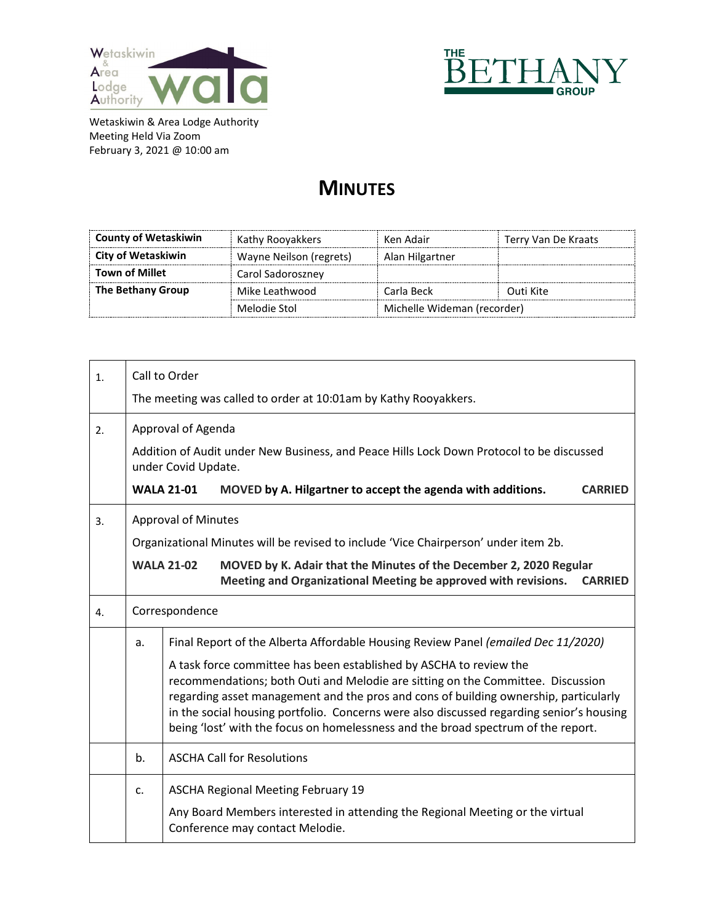



## **MINUTES**

| <b>County of Wetaskiwin</b> | Kathy Rooyakkers        | Ken Adair                   | Terry Van De Kraats |
|-----------------------------|-------------------------|-----------------------------|---------------------|
| City of Wetaskiwin          | Wayne Neilson (regrets) | Alan Hilgartner             |                     |
| <b>Town of Millet</b>       | Carol Sadoroszney       |                             |                     |
| The Bethany Group           | Mike Leathwood          | Carla Beck                  | Outi Kite           |
|                             | Melodie Stol            | Michelle Wideman (recorder) |                     |

| 1. | Call to Order |                                                                                                                                                                                                                                                                                                                                                                                                                                                                                                                     |  |  |  |
|----|---------------|---------------------------------------------------------------------------------------------------------------------------------------------------------------------------------------------------------------------------------------------------------------------------------------------------------------------------------------------------------------------------------------------------------------------------------------------------------------------------------------------------------------------|--|--|--|
|    |               | The meeting was called to order at 10:01am by Kathy Rooyakkers.                                                                                                                                                                                                                                                                                                                                                                                                                                                     |  |  |  |
| 2. |               | Approval of Agenda                                                                                                                                                                                                                                                                                                                                                                                                                                                                                                  |  |  |  |
|    |               | Addition of Audit under New Business, and Peace Hills Lock Down Protocol to be discussed<br>under Covid Update.                                                                                                                                                                                                                                                                                                                                                                                                     |  |  |  |
|    |               | <b>WALA 21-01</b><br>MOVED by A. Hilgartner to accept the agenda with additions.<br><b>CARRIED</b>                                                                                                                                                                                                                                                                                                                                                                                                                  |  |  |  |
| 3. |               | <b>Approval of Minutes</b>                                                                                                                                                                                                                                                                                                                                                                                                                                                                                          |  |  |  |
|    |               | Organizational Minutes will be revised to include 'Vice Chairperson' under item 2b.                                                                                                                                                                                                                                                                                                                                                                                                                                 |  |  |  |
|    |               | MOVED by K. Adair that the Minutes of the December 2, 2020 Regular<br><b>WALA 21-02</b><br>Meeting and Organizational Meeting be approved with revisions.<br><b>CARRIED</b>                                                                                                                                                                                                                                                                                                                                         |  |  |  |
| 4. |               | Correspondence                                                                                                                                                                                                                                                                                                                                                                                                                                                                                                      |  |  |  |
|    | a.            | Final Report of the Alberta Affordable Housing Review Panel (emailed Dec 11/2020)<br>A task force committee has been established by ASCHA to review the<br>recommendations; both Outi and Melodie are sitting on the Committee. Discussion<br>regarding asset management and the pros and cons of building ownership, particularly<br>in the social housing portfolio. Concerns were also discussed regarding senior's housing<br>being 'lost' with the focus on homelessness and the broad spectrum of the report. |  |  |  |
|    | b.            | <b>ASCHA Call for Resolutions</b>                                                                                                                                                                                                                                                                                                                                                                                                                                                                                   |  |  |  |
|    | c.            | <b>ASCHA Regional Meeting February 19</b><br>Any Board Members interested in attending the Regional Meeting or the virtual<br>Conference may contact Melodie.                                                                                                                                                                                                                                                                                                                                                       |  |  |  |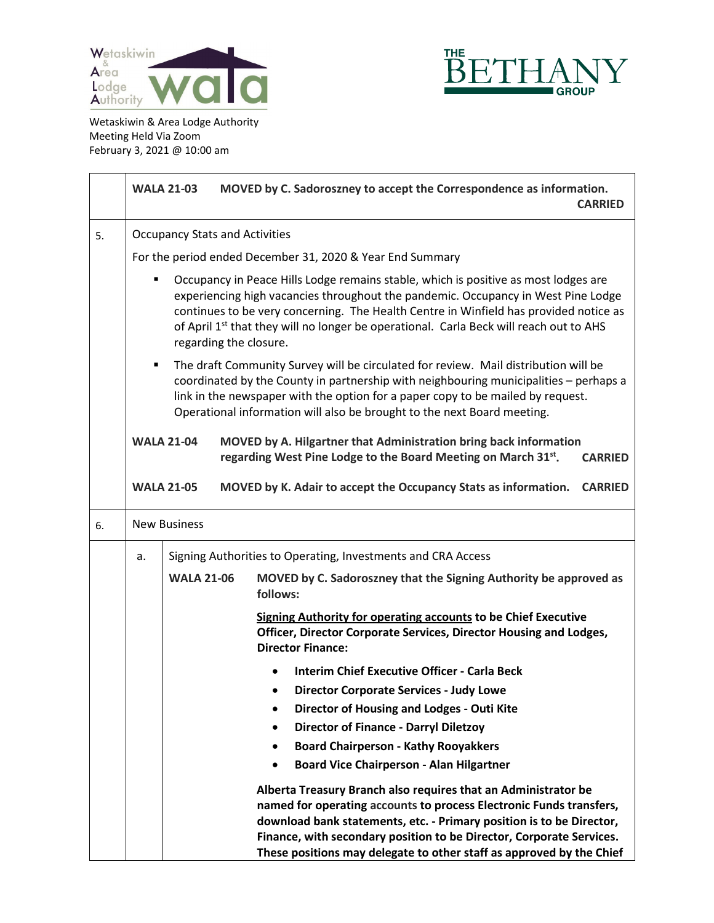



|    |    | <b>WALA 21-03</b>                                                                                                                                                                                                                                                                                                                                                                     |  | MOVED by C. Sadoroszney to accept the Correspondence as information.<br><b>CARRIED</b>                                                                                                                                                                                                                                                                        |  |
|----|----|---------------------------------------------------------------------------------------------------------------------------------------------------------------------------------------------------------------------------------------------------------------------------------------------------------------------------------------------------------------------------------------|--|---------------------------------------------------------------------------------------------------------------------------------------------------------------------------------------------------------------------------------------------------------------------------------------------------------------------------------------------------------------|--|
| 5. |    | <b>Occupancy Stats and Activities</b>                                                                                                                                                                                                                                                                                                                                                 |  |                                                                                                                                                                                                                                                                                                                                                               |  |
|    |    | For the period ended December 31, 2020 & Year End Summary                                                                                                                                                                                                                                                                                                                             |  |                                                                                                                                                                                                                                                                                                                                                               |  |
|    |    | Occupancy in Peace Hills Lodge remains stable, which is positive as most lodges are<br>experiencing high vacancies throughout the pandemic. Occupancy in West Pine Lodge<br>continues to be very concerning. The Health Centre in Winfield has provided notice as<br>of April 1st that they will no longer be operational. Carla Beck will reach out to AHS<br>regarding the closure. |  |                                                                                                                                                                                                                                                                                                                                                               |  |
|    | ٠  | The draft Community Survey will be circulated for review. Mail distribution will be<br>coordinated by the County in partnership with neighbouring municipalities - perhaps a<br>link in the newspaper with the option for a paper copy to be mailed by request.<br>Operational information will also be brought to the next Board meeting.                                            |  |                                                                                                                                                                                                                                                                                                                                                               |  |
|    |    | <b>WALA 21-04</b>                                                                                                                                                                                                                                                                                                                                                                     |  | MOVED by A. Hilgartner that Administration bring back information<br>regarding West Pine Lodge to the Board Meeting on March 31st.<br><b>CARRIED</b>                                                                                                                                                                                                          |  |
|    |    | <b>WALA 21-05</b>                                                                                                                                                                                                                                                                                                                                                                     |  | MOVED by K. Adair to accept the Occupancy Stats as information.<br><b>CARRIED</b>                                                                                                                                                                                                                                                                             |  |
| 6. |    | <b>New Business</b>                                                                                                                                                                                                                                                                                                                                                                   |  |                                                                                                                                                                                                                                                                                                                                                               |  |
|    | a. |                                                                                                                                                                                                                                                                                                                                                                                       |  | Signing Authorities to Operating, Investments and CRA Access                                                                                                                                                                                                                                                                                                  |  |
|    |    | <b>WALA 21-06</b>                                                                                                                                                                                                                                                                                                                                                                     |  | MOVED by C. Sadoroszney that the Signing Authority be approved as<br>follows:                                                                                                                                                                                                                                                                                 |  |
|    |    |                                                                                                                                                                                                                                                                                                                                                                                       |  | <b>Signing Authority for operating accounts to be Chief Executive</b><br>Officer, Director Corporate Services, Director Housing and Lodges,<br><b>Director Finance:</b>                                                                                                                                                                                       |  |
|    |    |                                                                                                                                                                                                                                                                                                                                                                                       |  | <b>Interim Chief Executive Officer - Carla Beck</b>                                                                                                                                                                                                                                                                                                           |  |
|    |    |                                                                                                                                                                                                                                                                                                                                                                                       |  | <b>Director Corporate Services - Judy Lowe</b><br>٠                                                                                                                                                                                                                                                                                                           |  |
|    |    |                                                                                                                                                                                                                                                                                                                                                                                       |  | Director of Housing and Lodges - Outi Kite                                                                                                                                                                                                                                                                                                                    |  |
|    |    |                                                                                                                                                                                                                                                                                                                                                                                       |  | <b>Director of Finance - Darryl Diletzoy</b>                                                                                                                                                                                                                                                                                                                  |  |
|    |    |                                                                                                                                                                                                                                                                                                                                                                                       |  | <b>Board Chairperson - Kathy Rooyakkers</b><br>٠<br><b>Board Vice Chairperson - Alan Hilgartner</b>                                                                                                                                                                                                                                                           |  |
|    |    |                                                                                                                                                                                                                                                                                                                                                                                       |  | Alberta Treasury Branch also requires that an Administrator be<br>named for operating accounts to process Electronic Funds transfers,<br>download bank statements, etc. - Primary position is to be Director,<br>Finance, with secondary position to be Director, Corporate Services.<br>These positions may delegate to other staff as approved by the Chief |  |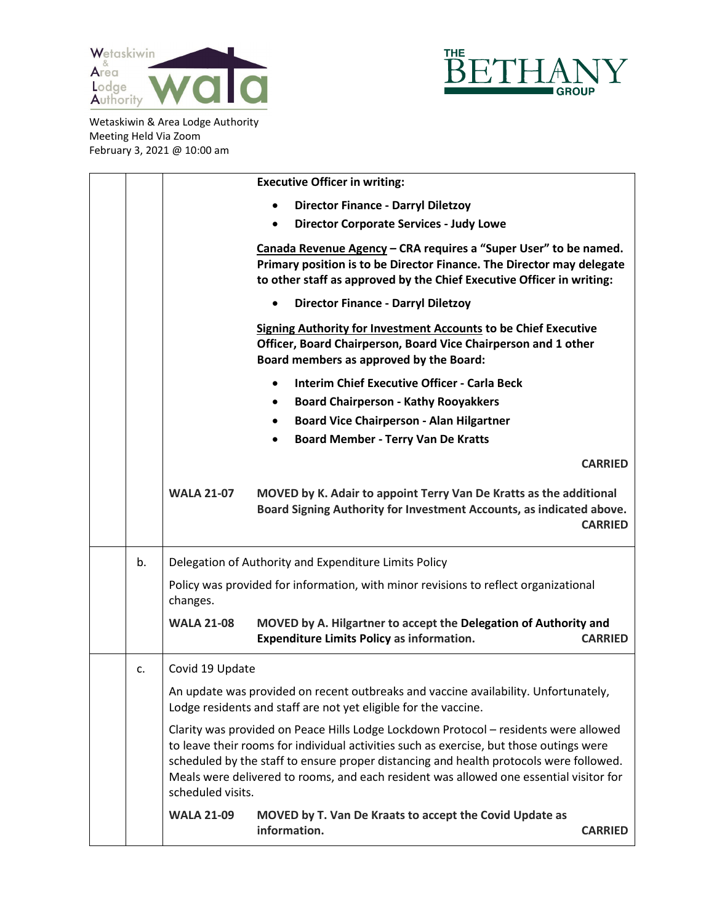



|    | <b>Executive Officer in writing:</b>                                                                                                                                                                                                                                                                                                                                                     |
|----|------------------------------------------------------------------------------------------------------------------------------------------------------------------------------------------------------------------------------------------------------------------------------------------------------------------------------------------------------------------------------------------|
|    | <b>Director Finance - Darryl Diletzoy</b>                                                                                                                                                                                                                                                                                                                                                |
|    | <b>Director Corporate Services - Judy Lowe</b>                                                                                                                                                                                                                                                                                                                                           |
|    | Canada Revenue Agency - CRA requires a "Super User" to be named.<br>Primary position is to be Director Finance. The Director may delegate<br>to other staff as approved by the Chief Executive Officer in writing:                                                                                                                                                                       |
|    | <b>Director Finance - Darryl Diletzoy</b>                                                                                                                                                                                                                                                                                                                                                |
|    | <b>Signing Authority for Investment Accounts to be Chief Executive</b><br>Officer, Board Chairperson, Board Vice Chairperson and 1 other<br>Board members as approved by the Board:                                                                                                                                                                                                      |
|    | <b>Interim Chief Executive Officer - Carla Beck</b>                                                                                                                                                                                                                                                                                                                                      |
|    | <b>Board Chairperson - Kathy Rooyakkers</b>                                                                                                                                                                                                                                                                                                                                              |
|    | <b>Board Vice Chairperson - Alan Hilgartner</b>                                                                                                                                                                                                                                                                                                                                          |
|    | <b>Board Member - Terry Van De Kratts</b>                                                                                                                                                                                                                                                                                                                                                |
|    | <b>CARRIED</b>                                                                                                                                                                                                                                                                                                                                                                           |
|    | <b>WALA 21-07</b><br>MOVED by K. Adair to appoint Terry Van De Kratts as the additional<br>Board Signing Authority for Investment Accounts, as indicated above.<br><b>CARRIED</b>                                                                                                                                                                                                        |
| b. | Delegation of Authority and Expenditure Limits Policy                                                                                                                                                                                                                                                                                                                                    |
|    | Policy was provided for information, with minor revisions to reflect organizational<br>changes.                                                                                                                                                                                                                                                                                          |
|    | <b>WALA 21-08</b><br>MOVED by A. Hilgartner to accept the Delegation of Authority and<br><b>Expenditure Limits Policy as information.</b><br><b>CARRIED</b>                                                                                                                                                                                                                              |
| c. | Covid 19 Update                                                                                                                                                                                                                                                                                                                                                                          |
|    | An update was provided on recent outbreaks and vaccine availability. Unfortunately,<br>Lodge residents and staff are not yet eligible for the vaccine.                                                                                                                                                                                                                                   |
|    | Clarity was provided on Peace Hills Lodge Lockdown Protocol - residents were allowed<br>to leave their rooms for individual activities such as exercise, but those outings were<br>scheduled by the staff to ensure proper distancing and health protocols were followed.<br>Meals were delivered to rooms, and each resident was allowed one essential visitor for<br>scheduled visits. |
|    | <b>WALA 21-09</b><br>MOVED by T. Van De Kraats to accept the Covid Update as<br>information.<br><b>CARRIED</b>                                                                                                                                                                                                                                                                           |